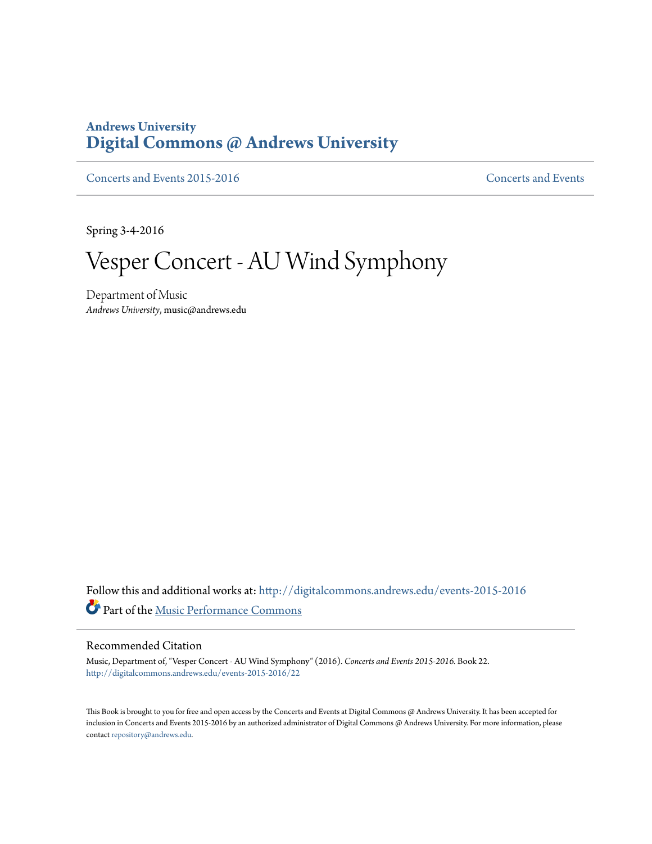### **Andrews University [Digital Commons @ Andrews University](http://digitalcommons.andrews.edu?utm_source=digitalcommons.andrews.edu%2Fevents-2015-2016%2F22&utm_medium=PDF&utm_campaign=PDFCoverPages)**

[Concerts and Events 2015-2016](http://digitalcommons.andrews.edu/events-2015-2016?utm_source=digitalcommons.andrews.edu%2Fevents-2015-2016%2F22&utm_medium=PDF&utm_campaign=PDFCoverPages) [Concerts and Events](http://digitalcommons.andrews.edu/music-events?utm_source=digitalcommons.andrews.edu%2Fevents-2015-2016%2F22&utm_medium=PDF&utm_campaign=PDFCoverPages)

Spring 3-4-2016

Vesper Concert - AU Wind Symphony

Department of Music *Andrews University*, music@andrews.edu

Follow this and additional works at: [http://digitalcommons.andrews.edu/events-2015-2016](http://digitalcommons.andrews.edu/events-2015-2016?utm_source=digitalcommons.andrews.edu%2Fevents-2015-2016%2F22&utm_medium=PDF&utm_campaign=PDFCoverPages) Part of the [Music Performance Commons](http://network.bepress.com/hgg/discipline/1128?utm_source=digitalcommons.andrews.edu%2Fevents-2015-2016%2F22&utm_medium=PDF&utm_campaign=PDFCoverPages)

#### Recommended Citation

Music, Department of, "Vesper Concert - AU Wind Symphony" (2016). *Concerts and Events 2015-2016.* Book 22. [http://digitalcommons.andrews.edu/events-2015-2016/22](http://digitalcommons.andrews.edu/events-2015-2016/22?utm_source=digitalcommons.andrews.edu%2Fevents-2015-2016%2F22&utm_medium=PDF&utm_campaign=PDFCoverPages)

This Book is brought to you for free and open access by the Concerts and Events at Digital Commons @ Andrews University. It has been accepted for inclusion in Concerts and Events 2015-2016 by an authorized administrator of Digital Commons @ Andrews University. For more information, please contact [repository@andrews.edu.](mailto:repository@andrews.edu)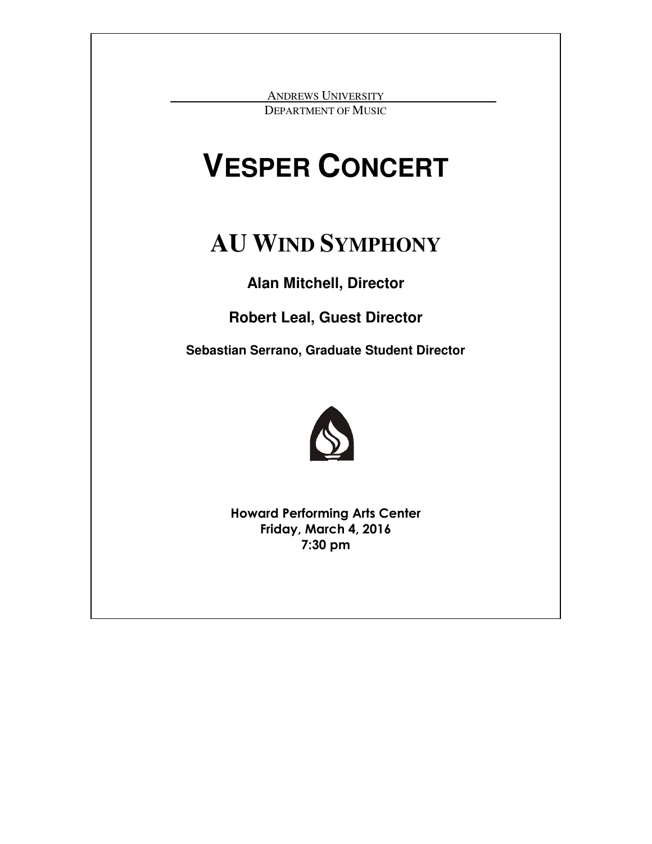ANDREWS UNIVERSITY DEPARTMENT OF MUSIC

# **VESPER CONCERT**

# **AU WIND SYMPHONY**

**Alan Mitchell, Director** 

**Robert Leal, Guest Director** 

**Sebastian Serrano, Graduate Student Director** 



**Howard Performing Arts Center Friday, March 4, 2016 7:30 pm**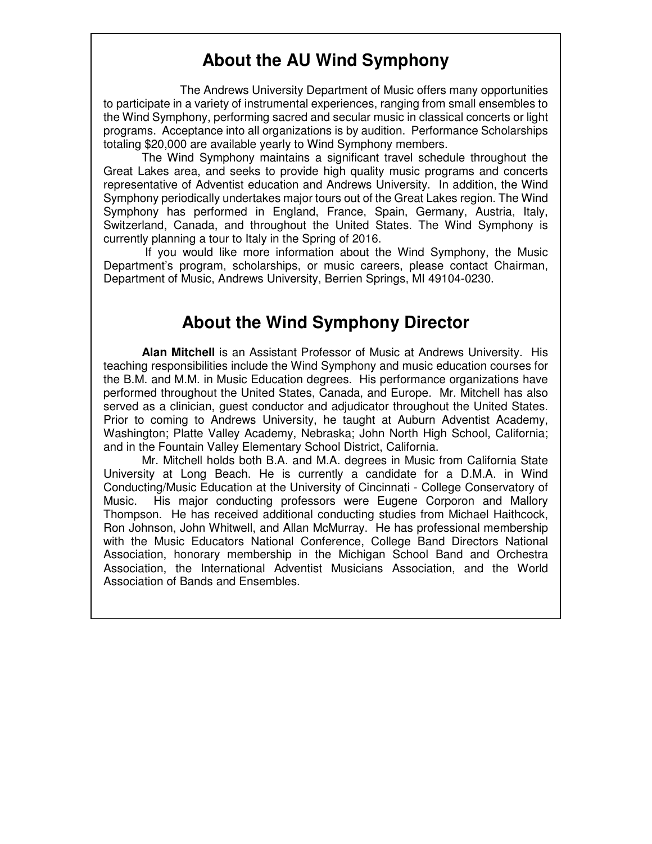# **About the AU Wind Symphony**

 The Andrews University Department of Music offers many opportunities to participate in a variety of instrumental experiences, ranging from small ensembles to the Wind Symphony, performing sacred and secular music in classical concerts or light programs. Acceptance into all organizations is by audition. Performance Scholarships totaling \$20,000 are available yearly to Wind Symphony members.

 The Wind Symphony maintains a significant travel schedule throughout the Great Lakes area, and seeks to provide high quality music programs and concerts representative of Adventist education and Andrews University. In addition, the Wind Symphony periodically undertakes major tours out of the Great Lakes region. The Wind Symphony has performed in England, France, Spain, Germany, Austria, Italy, Switzerland, Canada, and throughout the United States. The Wind Symphony is currently planning a tour to Italy in the Spring of 2016.

 If you would like more information about the Wind Symphony, the Music Department's program, scholarships, or music careers, please contact Chairman, Department of Music, Andrews University, Berrien Springs, MI 49104-0230.

# **About the Wind Symphony Director**

**Alan Mitchell** is an Assistant Professor of Music at Andrews University. His teaching responsibilities include the Wind Symphony and music education courses for the B.M. and M.M. in Music Education degrees. His performance organizations have performed throughout the United States, Canada, and Europe. Mr. Mitchell has also served as a clinician, guest conductor and adjudicator throughout the United States. Prior to coming to Andrews University, he taught at Auburn Adventist Academy, Washington; Platte Valley Academy, Nebraska; John North High School, California; and in the Fountain Valley Elementary School District, California.

 Mr. Mitchell holds both B.A. and M.A. degrees in Music from California State University at Long Beach. He is currently a candidate for a D.M.A. in Wind Conducting/Music Education at the University of Cincinnati - College Conservatory of Music. His major conducting professors were Eugene Corporon and Mallory Thompson. He has received additional conducting studies from Michael Haithcock, Ron Johnson, John Whitwell, and Allan McMurray. He has professional membership with the Music Educators National Conference, College Band Directors National Association, honorary membership in the Michigan School Band and Orchestra Association, the International Adventist Musicians Association, and the World Association of Bands and Ensembles.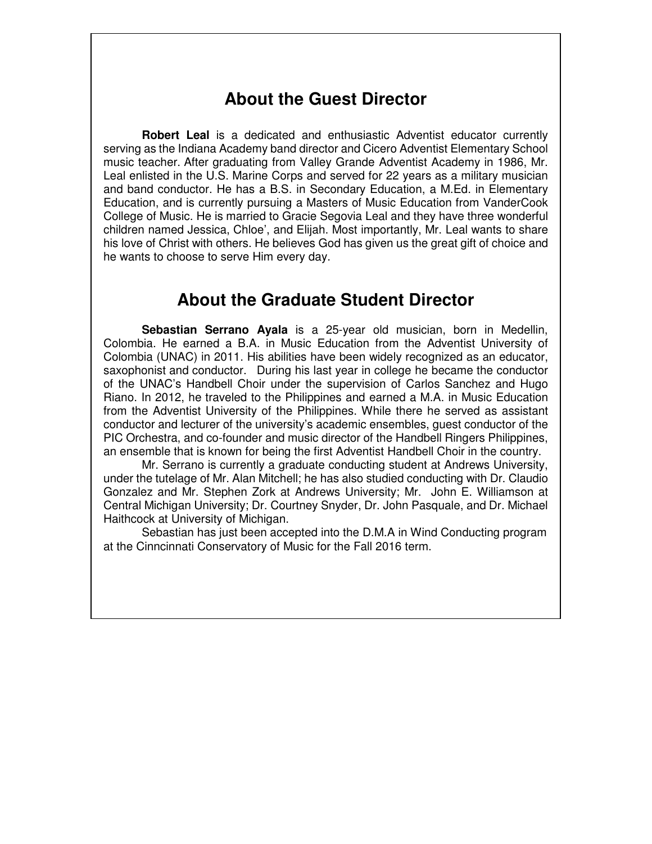# **About the Guest Director**

**Robert Leal** is a dedicated and enthusiastic Adventist educator currently serving as the Indiana Academy band director and Cicero Adventist Elementary School music teacher. After graduating from Valley Grande Adventist Academy in 1986, Mr. Leal enlisted in the U.S. Marine Corps and served for 22 years as a military musician and band conductor. He has a B.S. in Secondary Education, a M.Ed. in Elementary Education, and is currently pursuing a Masters of Music Education from VanderCook College of Music. He is married to Gracie Segovia Leal and they have three wonderful children named Jessica, Chloe', and Elijah. Most importantly, Mr. Leal wants to share his love of Christ with others. He believes God has given us the great gift of choice and he wants to choose to serve Him every day.

### **About the Graduate Student Director**

**Sebastian Serrano Ayala** is a 25-year old musician, born in Medellin, Colombia. He earned a B.A. in Music Education from the Adventist University of Colombia (UNAC) in 2011. His abilities have been widely recognized as an educator, saxophonist and conductor. During his last year in college he became the conductor of the UNAC's Handbell Choir under the supervision of Carlos Sanchez and Hugo Riano. In 2012, he traveled to the Philippines and earned a M.A. in Music Education from the Adventist University of the Philippines. While there he served as assistant conductor and lecturer of the university's academic ensembles, guest conductor of the PIC Orchestra, and co-founder and music director of the Handbell Ringers Philippines, an ensemble that is known for being the first Adventist Handbell Choir in the country.

 Mr. Serrano is currently a graduate conducting student at Andrews University, under the tutelage of Mr. Alan Mitchell; he has also studied conducting with Dr. Claudio Gonzalez and Mr. Stephen Zork at Andrews University; Mr. John E. Williamson at Central Michigan University; Dr. Courtney Snyder, Dr. John Pasquale, and Dr. Michael Haithcock at University of Michigan.

 Sebastian has just been accepted into the D.M.A in Wind Conducting program at the Cinncinnati Conservatory of Music for the Fall 2016 term.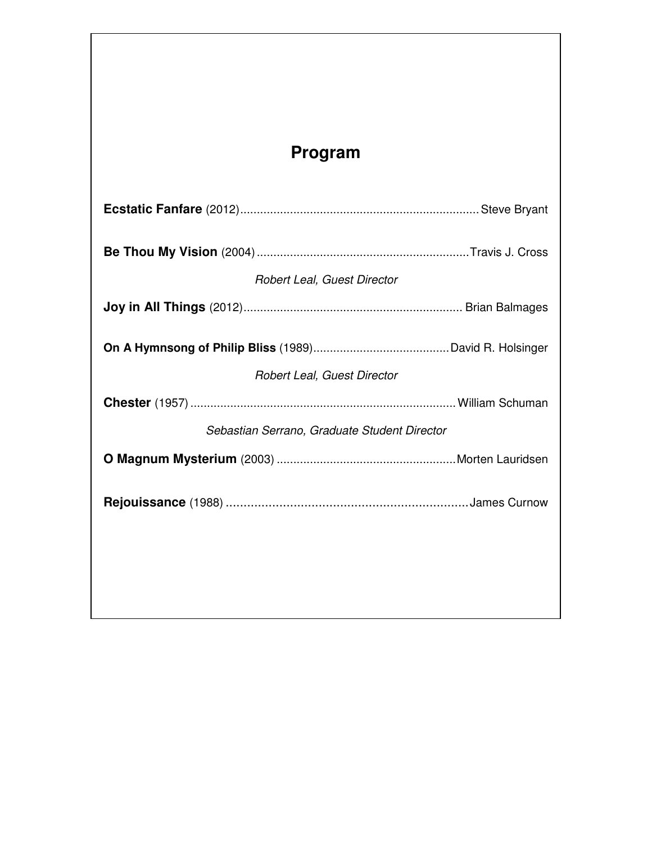# **Program**

| <b>Robert Leal, Guest Director</b>           |  |  |  |
|----------------------------------------------|--|--|--|
|                                              |  |  |  |
|                                              |  |  |  |
| <b>Robert Leal, Guest Director</b>           |  |  |  |
|                                              |  |  |  |
| Sebastian Serrano, Graduate Student Director |  |  |  |
|                                              |  |  |  |
|                                              |  |  |  |
|                                              |  |  |  |
|                                              |  |  |  |
|                                              |  |  |  |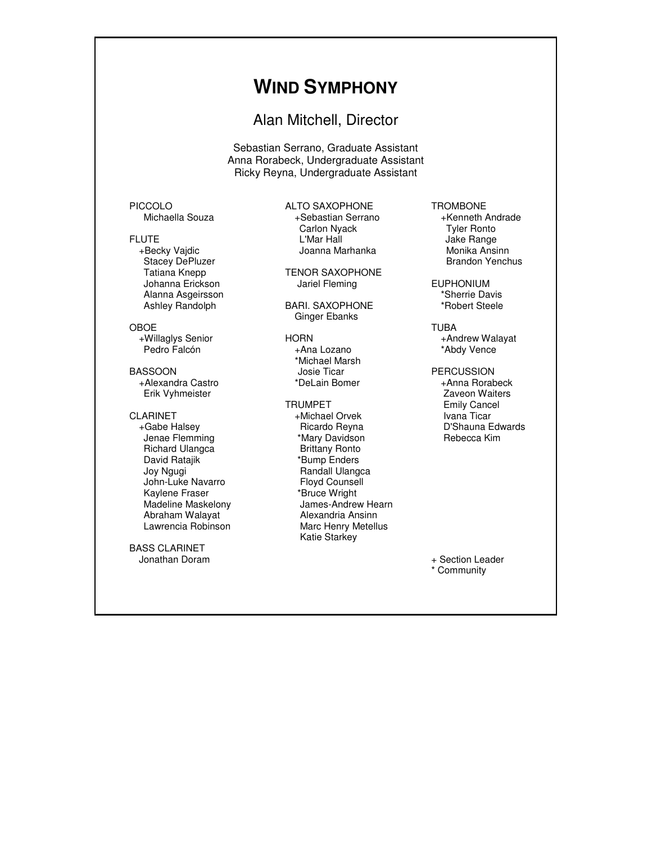# **WIND SYMPHONY**

### Alan Mitchell, Director

Sebastian Serrano, Graduate Assistant Anna Rorabeck, Undergraduate Assistant Ricky Reyna, Undergraduate Assistant

PICCOLO Michaella Souza

FLUTE +Becky Vajdic Stacey DePluzer Tatiana Knepp Johanna Erickson Alanna Asgeirsson Ashley Randolph

OBOE +Willaglys Senior Pedro Falcón

BASSOON +Alexandra Castro Erik Vyhmeister

CLARINET +Gabe Halsey Jenae Flemming Richard Ulangca David Ratajik Joy Ngugi John-Luke Navarro Kaylene Fraser Madeline Maskelony Abraham Walayat Lawrencia Robinson

BASS CLARINET Jonathan Doram ALTO SAXOPHONE +Sebastian Serrano Carlon Nyack L'Mar Hall

Joanna Marhanka TENOR SAXOPHONE

 Jariel Fleming BARI. SAXOPHONE

Ginger Ebanks

#### **HORN**

+Ana Lozano \*Michael Marsh Josie Ticar \*DeLain Bomer

TRUMPET

+Michael Orvek Ricardo Reyna \*Mary Davidson Brittany Ronto \*Bump Enders Randall Ulangca Floyd Counsell \*Bruce Wright James-Andrew Hearn Alexandria Ansinn Marc Henry Metellus Katie Starkey

### **TROMBONE**

+Kenneth Andrade Tyler Ronto Jake Range Monika Ansinn Brandon Yenchus

EUPHONIUM \*Sherrie Davis \*Robert Steele

TUBA +Andrew Walayat \*Abdy Vence

PERCUSSION +Anna Rorabeck Zaveon Waiters Emily Cancel Ivana Ticar D'Shauna Edwards Rebecca Kim

+ Section Leader \* Community